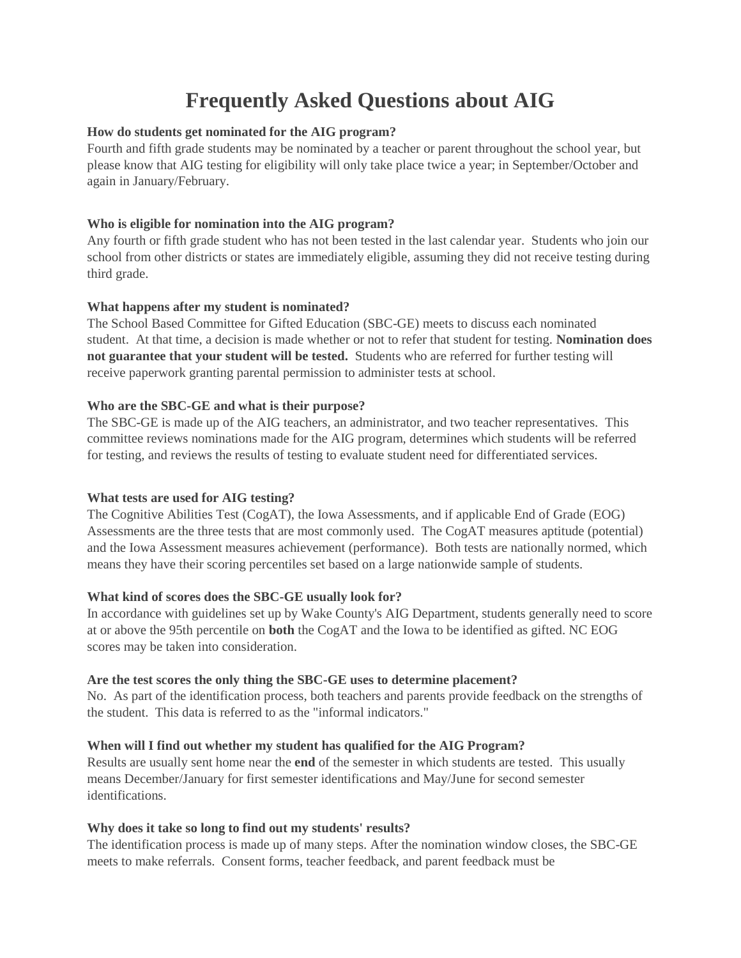# **Frequently Asked Questions about AIG**

# **How do students get nominated for the AIG program?**

Fourth and fifth grade students may be nominated by a teacher or parent throughout the school year, but please know that AIG testing for eligibility will only take place twice a year; in September/October and again in January/February.

# **Who is eligible for nomination into the AIG program?**

Any fourth or fifth grade student who has not been tested in the last calendar year. Students who join our school from other districts or states are immediately eligible, assuming they did not receive testing during third grade.

## **What happens after my student is nominated?**

The School Based Committee for Gifted Education (SBC-GE) meets to discuss each nominated student. At that time, a decision is made whether or not to refer that student for testing. **Nomination does not guarantee that your student will be tested.** Students who are referred for further testing will receive paperwork granting parental permission to administer tests at school.

## **Who are the SBC-GE and what is their purpose?**

The SBC-GE is made up of the AIG teachers, an administrator, and two teacher representatives. This committee reviews nominations made for the AIG program, determines which students will be referred for testing, and reviews the results of testing to evaluate student need for differentiated services.

#### **What tests are used for AIG testing?**

The Cognitive Abilities Test (CogAT), the Iowa Assessments, and if applicable End of Grade (EOG) Assessments are the three tests that are most commonly used. The CogAT measures aptitude (potential) and the Iowa Assessment measures achievement (performance). Both tests are nationally normed, which means they have their scoring percentiles set based on a large nationwide sample of students.

#### **What kind of scores does the SBC-GE usually look for?**

In accordance with guidelines set up by Wake County's AIG Department, students generally need to score at or above the 95th percentile on **both** the CogAT and the Iowa to be identified as gifted. NC EOG scores may be taken into consideration.

#### **Are the test scores the only thing the SBC-GE uses to determine placement?**

No. As part of the identification process, both teachers and parents provide feedback on the strengths of the student. This data is referred to as the "informal indicators."

# **When will I find out whether my student has qualified for the AIG Program?**

Results are usually sent home near the **end** of the semester in which students are tested. This usually means December/January for first semester identifications and May/June for second semester identifications.

#### **Why does it take so long to find out my students' results?**

The identification process is made up of many steps. After the nomination window closes, the SBC-GE meets to make referrals. Consent forms, teacher feedback, and parent feedback must be